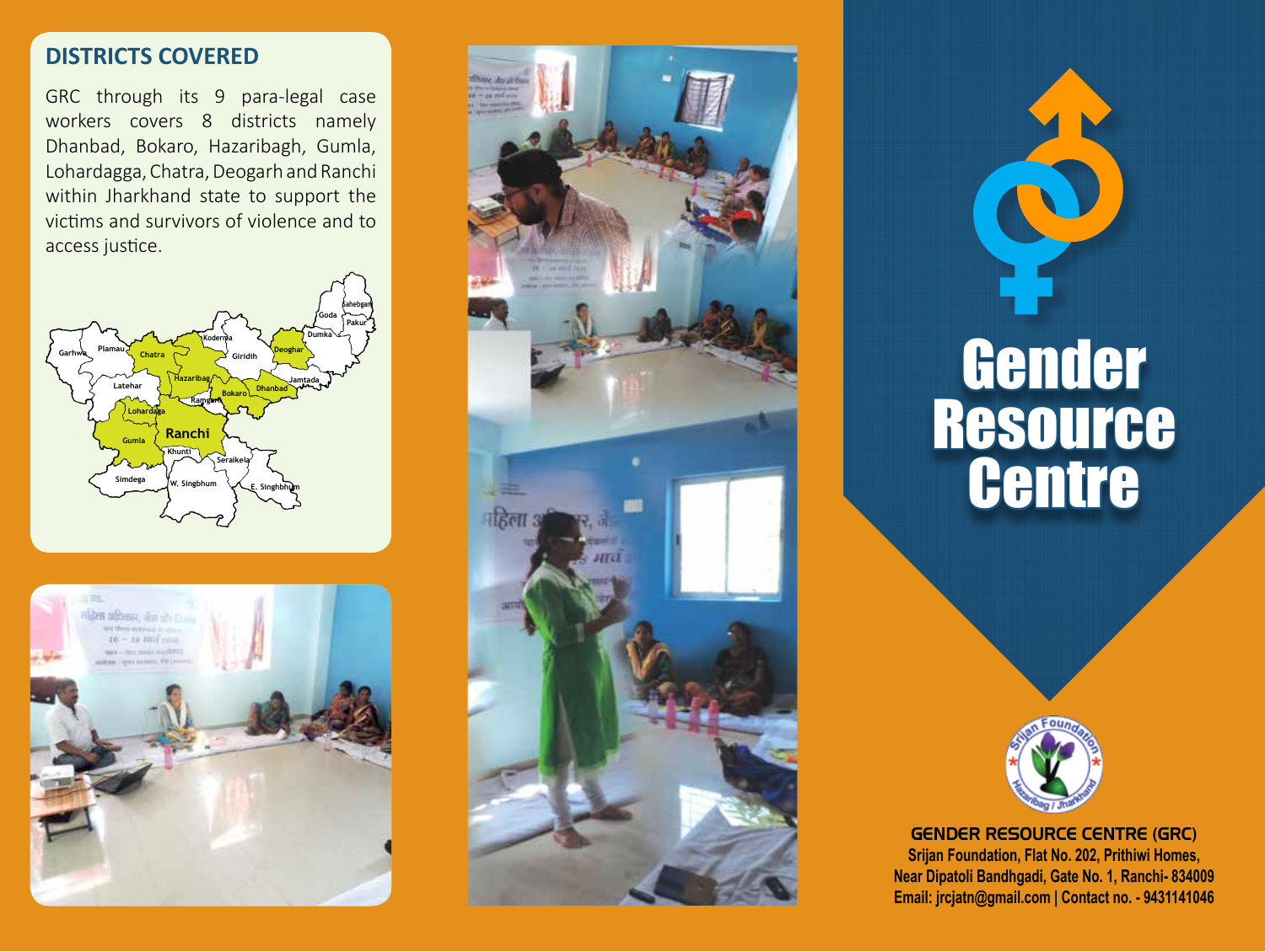# **DISTRICTS COVERED**

GRC through its 9 para-legal case workers covers 8 districts namely Dhanbad, Bokaro, Hazaribagh, Gumla, Lohardagga, Chatra, Deogarh and Ranchi within Jharkhand state to support the victims and survivors of violence and to access justice.











GENDER RESOURCE CENTRE (GRC) **Srijan Foundation, Flat No. 202, Prithiwi Homes, Near Dipatoli Bandhgadi, Gate No. 1, Ranchi- 834009 Email: jrcjatn@gmail.com | Contact no. - 9431141046**